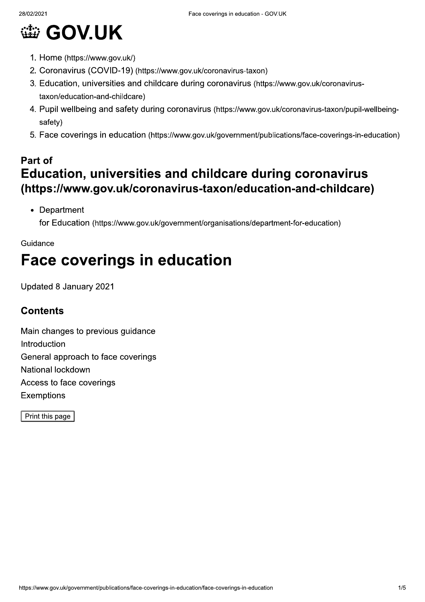# **@ GOV.UK**

- 1. Home (https://www.gov.uk/)
- 2. Coronavirus (COVID-19) (https://www.gov.uk/coronavirus-taxon)
- 3. Education, universities and childcare during coronavirus (https://www.gov.uk/coronavirustaxon/education-and-childcare)
- 4. Pupil wellbeing and safety during coronavirus (https://www.gov.uk/coronavirus-taxon/pupil-wellbeingsafety)
- 5. Face coverings in education (https://www.gov.uk/government/publications/face-coverings-in-education)

# Part of Education, universities and childcare during coronavirus (https://www.gov.uk/coronavirus-taxon/education-and-childcare)

• Department for Education (https://www.gov.uk/government/organisations/department-for-education)

#### Guidance

# **Face coverings in education**

Updated 8 January 2021

## **Contents**

Main changes to previous guidance Introduction General approach to face coverings National lockdown Access to face coverings **Exemptions** 

Print this page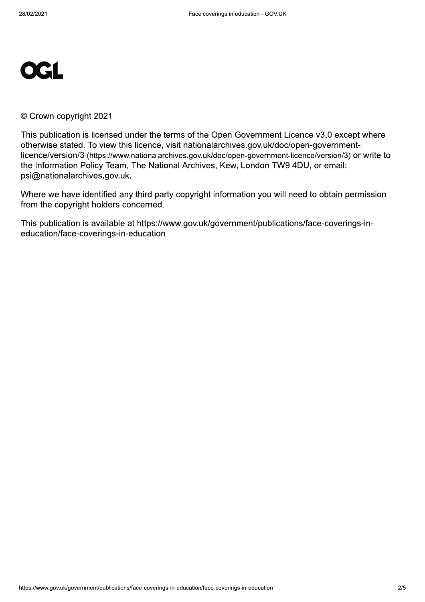

© Crown copyright 2021

This publication is licensed under the terms of the Open Government Licence v3.0 except where otherwise stated. To view this licence, visit nationalarchives.gov.uk/doc/open-governmentlicence/version/3 (https://www.nationalarchives.gov.uk/doc/open-government-licence/version/3) or write to the Information Policy Team, The National Archives, Kew, London TW9 4DU, or email: psi@nationalarchives.gov.uk.

Where we have identified any third party copyright information you will need to obtain permission from the copyright holders concerned.

This publication is available at https://www.gov.uk/government/publications/face-coverings-ineducation/face-coverings-in-education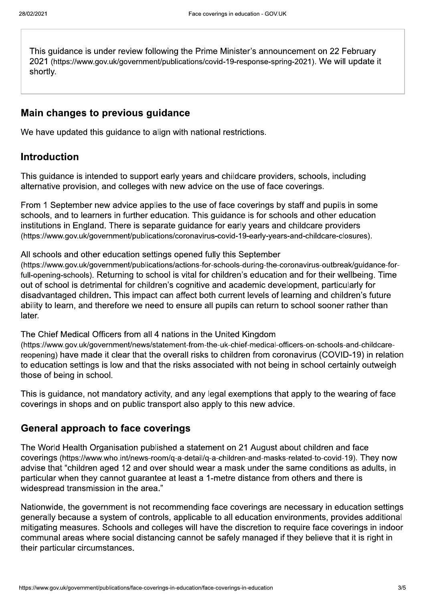This guidance is under review following the Prime Minister's announcement on 22 February 2021 (https://www.gov.uk/government/publications/covid-19-response-spring-2021). We will update it shortly.

#### Main changes to previous guidance

We have updated this quidance to align with national restrictions.

#### **Introduction**

This guidance is intended to support early years and childcare providers, schools, including alternative provision, and colleges with new advice on the use of face coverings.

From 1 September new advice applies to the use of face coverings by staff and pupils in some schools, and to learners in further education. This guidance is for schools and other education institutions in England. There is separate quidance for early years and childcare providers (https://www.gov.uk/government/publications/coronavirus-covid-19-early-years-and-childcare-closures).

All schools and other education settings opened fully this September

(https://www.gov.uk/government/publications/actions-for-schools-during-the-coronavirus-outbreak/guidance-forfull-opening-schools). Returning to school is vital for children's education and for their wellbeing. Time out of school is detrimental for children's cognitive and academic development, particularly for disadvantaged children. This impact can affect both current levels of learning and children's future ability to learn, and therefore we need to ensure all pupils can return to school sooner rather than later.

The Chief Medical Officers from all 4 nations in the United Kingdom

(https://www.gov.uk/government/news/statement-from-the-uk-chief-medical-officers-on-schools-and-childcarereopening) have made it clear that the overall risks to children from coronavirus (COVID-19) in relation to education settings is low and that the risks associated with not being in school certainly outweigh those of being in school.

This is guidance, not mandatory activity, and any legal exemptions that apply to the wearing of face coverings in shops and on public transport also apply to this new advice.

#### **General approach to face coverings**

The World Health Organisation published a statement on 21 August about children and face coverings (https://www.who.int/news-room/g-a-detail/g-a-children-and-masks-related-to-covid-19). They now advise that "children aged 12 and over should wear a mask under the same conditions as adults, in particular when they cannot guarantee at least a 1-metre distance from others and there is widespread transmission in the area."

Nationwide, the government is not recommending face coverings are necessary in education settings generally because a system of controls, applicable to all education environments, provides additional mitigating measures. Schools and colleges will have the discretion to require face coverings in indoor communal areas where social distancing cannot be safely managed if they believe that it is right in their particular circumstances.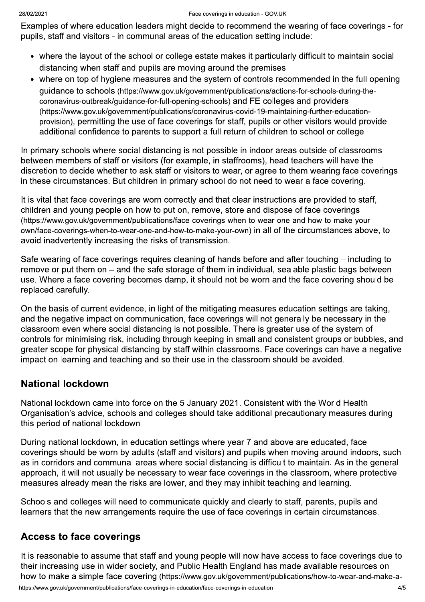Examples of where education leaders might decide to recommend the wearing of face coverings - for pupils, staff and visitors - in communal areas of the education setting include:

- where the layout of the school or college estate makes it particularly difficult to maintain social distancing when staff and pupils are moving around the premises
- where on top of hygiene measures and the system of controls recommended in the full opening quidance to schools (https://www.gov.uk/government/publications/actions-for-schools-during-thecoronavirus-outbreak/guidance-for-full-opening-schools) and FE colleges and providers (https://www.gov.uk/government/publications/coronavirus-covid-19-maintaining-further-educationprovision), permitting the use of face coverings for staff, pupils or other visitors would provide additional confidence to parents to support a full return of children to school or college

In primary schools where social distancing is not possible in indoor areas outside of classrooms between members of staff or visitors (for example, in staffrooms), head teachers will have the discretion to decide whether to ask staff or visitors to wear, or agree to them wearing face coverings in these circumstances. But children in primary school do not need to wear a face covering.

It is vital that face coverings are worn correctly and that clear instructions are provided to staff. children and young people on how to put on, remove, store and dispose of face coverings (https://www.gov.uk/government/publications/face-coverings-when-to-wear-one-and-how-to-make-yourown/face-coverings-when-to-wear-one-and-how-to-make-your-own) in all of the circumstances above, to avoid inadvertently increasing the risks of transmission.

Safe wearing of face coverings requires cleaning of hands before and after touching – including to remove or put them on – and the safe storage of them in individual, sealable plastic bags between use. Where a face covering becomes damp, it should not be worn and the face covering should be replaced carefully.

On the basis of current evidence, in light of the mitigating measures education settings are taking, and the negative impact on communication, face coverings will not generally be necessary in the classroom even where social distancing is not possible. There is greater use of the system of controls for minimising risk, including through keeping in small and consistent groups or bubbles, and greater scope for physical distancing by staff within classrooms. Face coverings can have a negative impact on learning and teaching and so their use in the classroom should be avoided.

#### **National lockdown**

National lockdown came into force on the 5 January 2021. Consistent with the World Health Organisation's advice, schools and colleges should take additional precautionary measures during this period of national lockdown

During national lockdown, in education settings where year 7 and above are educated, face coverings should be worn by adults (staff and visitors) and pupils when moving around indoors, such as in corridors and communal areas where social distancing is difficult to maintain. As in the general approach, it will not usually be necessary to wear face coverings in the classroom, where protective measures already mean the risks are lower, and they may inhibit teaching and learning.

Schools and colleges will need to communicate quickly and clearly to staff, parents, pupils and learners that the new arrangements require the use of face coverings in certain circumstances.

### **Access to face coverings**

It is reasonable to assume that staff and young people will now have access to face coverings due to their increasing use in wider society, and Public Health England has made available resources on how to make a simple face covering (https://www.gov.uk/government/publications/how-to-wear-and-make-a